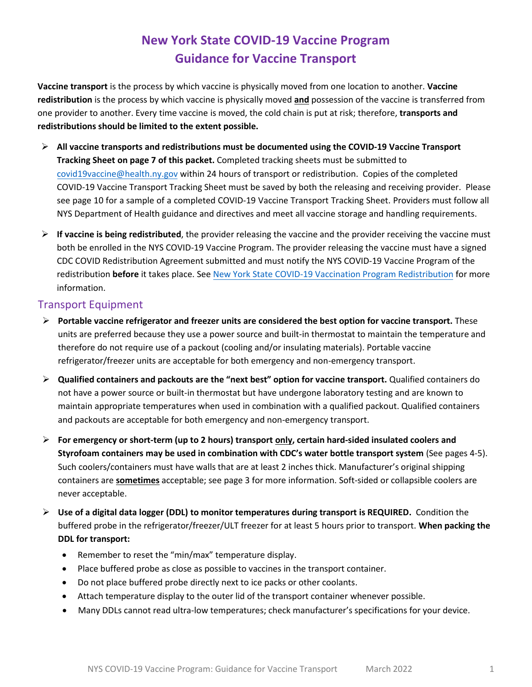# **New York State COVID-19 Vaccine Program Guidance for Vaccine Transport**

**Vaccine transport** is the process by which vaccine is physically moved from one location to another. **Vaccine redistribution** is the process by which vaccine is physically moved **and** possession of the vaccine is transferred from one provider to another. Every time vaccine is moved, the cold chain is put at risk; therefore, **transports and redistributions should be limited to the extent possible.** 

- ➢ **All vaccine transports and redistributions must be documented using the COVID-19 Vaccine Transport Tracking Sheet on page 7 of this packet.** Completed tracking sheets must be submitted to [covid19vaccine@health.ny.gov](mailto:covid19vaccine@health.ny.gov) within 24 hours of transport or redistribution. Copies of the completed COVID-19 Vaccine Transport Tracking Sheet must be saved by both the releasing and receiving provider. Please see page 10 for a sample of a completed COVID-19 Vaccine Transport Tracking Sheet. Providers must follow all NYS Department of Health guidance and directives and meet all vaccine storage and handling requirements.
- ➢ **If vaccine is being redistributed**, the provider releasing the vaccine and the provider receiving the vaccine must both be enrolled in the NYS COVID-19 Vaccine Program. The provider releasing the vaccine must have a signed CDC COVID Redistribution Agreement submitted and must notify the NYS COVID-19 Vaccine Program of the redistribution **before** it takes place. See [New York State COVID-19 Vaccination Program Redistribution](https://coronavirus.health.ny.gov/system/files/documents/2021/05/vaccine_program_redistribution_5.21.21.pdf) for more information.

# Transport Equipment

- ➢ **Portable vaccine refrigerator and freezer units are considered the best option for vaccine transport.** These units are preferred because they use a power source and built-in thermostat to maintain the temperature and therefore do not require use of a packout (cooling and/or insulating materials). Portable vaccine refrigerator/freezer units are acceptable for both emergency and non-emergency transport.
- ➢ **Qualified containers and packouts are the "next best" option for vaccine transport.** Qualified containers do not have a power source or built-in thermostat but have undergone laboratory testing and are known to maintain appropriate temperatures when used in combination with a qualified packout. Qualified containers and packouts are acceptable for both emergency and non-emergency transport.
- ➢ **For emergency or short-term (up to 2 hours) transport only, certain hard-sided insulated coolers and Styrofoam containers may be used in combination with CDC's water bottle transport system** (See pages 4-5). Such coolers/containers must have walls that are at least 2 inches thick. Manufacturer's original shipping containers are **sometimes** acceptable; see page 3 for more information. Soft-sided or collapsible coolers are never acceptable.
- ➢ **Use of a digital data logger (DDL) to monitor temperatures during transport is REQUIRED.** Condition the buffered probe in the refrigerator/freezer/ULT freezer for at least 5 hours prior to transport. **When packing the DDL for transport:**
	- Remember to reset the "min/max" temperature display.
	- Place buffered probe as close as possible to vaccines in the transport container.
	- Do not place buffered probe directly next to ice packs or other coolants.
	- Attach temperature display to the outer lid of the transport container whenever possible.
	- Many DDLs cannot read ultra-low temperatures; check manufacturer's specifications for your device.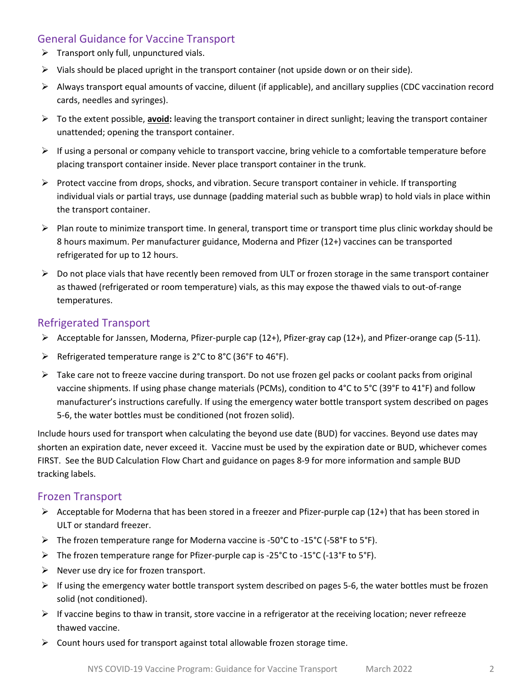# General Guidance for Vaccine Transport

- $\triangleright$  Transport only full, unpunctured vials.
- $\triangleright$  Vials should be placed upright in the transport container (not upside down or on their side).
- $\triangleright$  Always transport equal amounts of vaccine, diluent (if applicable), and ancillary supplies (CDC vaccination record cards, needles and syringes).
- ➢ To the extent possible, **avoid:** leaving the transport container in direct sunlight; leaving the transport container unattended; opening the transport container.
- $\triangleright$  If using a personal or company vehicle to transport vaccine, bring vehicle to a comfortable temperature before placing transport container inside. Never place transport container in the trunk.
- ➢ Protect vaccine from drops, shocks, and vibration. Secure transport container in vehicle. If transporting individual vials or partial trays, use dunnage (padding material such as bubble wrap) to hold vials in place within the transport container.
- ➢ Plan route to minimize transport time. In general, transport time or transport time plus clinic workday should be 8 hours maximum. Per manufacturer guidance, Moderna and Pfizer (12+) vaccines can be transported refrigerated for up to 12 hours.
- $\triangleright$  Do not place vials that have recently been removed from ULT or frozen storage in the same transport container as thawed (refrigerated or room temperature) vials, as this may expose the thawed vials to out-of-range temperatures.

# Refrigerated Transport

- ➢ Acceptable for Janssen, Moderna, Pfizer-purple cap (12+), Pfizer-gray cap (12+), and Pfizer-orange cap (5-11).
- ➢ Refrigerated temperature range is 2°C to 8°C (36°F to 46°F).
- ➢ Take care not to freeze vaccine during transport. Do not use frozen gel packs or coolant packs from original vaccine shipments. If using phase change materials (PCMs), condition to 4°C to 5°C (39°F to 41°F) and follow manufacturer's instructions carefully. If using the emergency water bottle transport system described on pages 5-6, the water bottles must be conditioned (not frozen solid).

Include hours used for transport when calculating the beyond use date (BUD) for vaccines. Beyond use dates may shorten an expiration date, never exceed it. Vaccine must be used by the expiration date or BUD, whichever comes FIRST. See the BUD Calculation Flow Chart and guidance on pages 8-9 for more information and sample BUD tracking labels.

# Frozen Transport

- $\triangleright$  Acceptable for Moderna that has been stored in a freezer and Pfizer-purple cap (12+) that has been stored in ULT or standard freezer.
- ➢ The frozen temperature range for Moderna vaccine is -50°C to -15°C (-58°F to 5°F).
- $\triangleright$  The frozen temperature range for Pfizer-purple cap is -25°C to -15°C (-13°F to 5°F).
- $\triangleright$  Never use dry ice for frozen transport.
- $\triangleright$  If using the emergency water bottle transport system described on pages 5-6, the water bottles must be frozen solid (not conditioned).
- $\triangleright$  If vaccine begins to thaw in transit, store vaccine in a refrigerator at the receiving location; never refreeze thawed vaccine.
- ➢ Count hours used for transport against total allowable frozen storage time.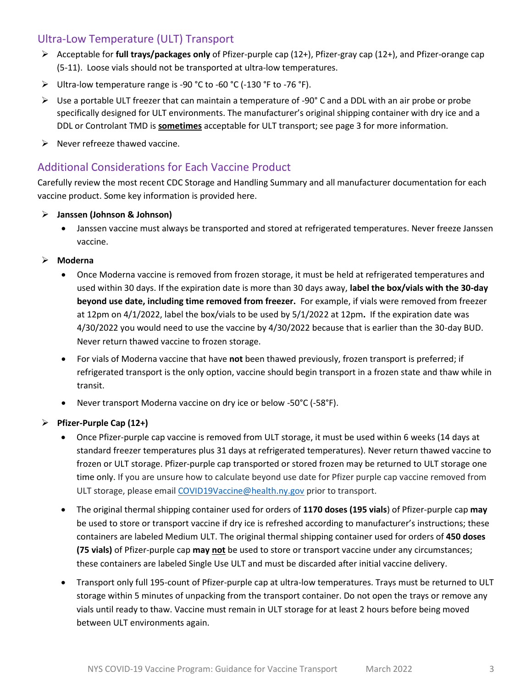# Ultra-Low Temperature (ULT) Transport

- ➢ Acceptable for **full trays/packages only** of Pfizer-purple cap (12+), Pfizer-gray cap (12+), and Pfizer-orange cap (5-11). Loose vials should not be transported at ultra-low temperatures.
- ➢ Ultra-low temperature range is -90 °C to -60 °C (-130 °F to -76 °F).
- ➢ Use a portable ULT freezer that can maintain a temperature of -90° C and a DDL with an air probe or probe specifically designed for ULT environments. The manufacturer's original shipping container with dry ice and a DDL or Controlant TMD is **sometimes** acceptable for ULT transport; see page 3 for more information.
- $\triangleright$  Never refreeze thawed vaccine.

# Additional Considerations for Each Vaccine Product

Carefully review the most recent CDC Storage and Handling Summary and all manufacturer documentation for each vaccine product. Some key information is provided here.

- ➢ **Janssen (Johnson & Johnson)**
	- Janssen vaccine must always be transported and stored at refrigerated temperatures. Never freeze Janssen vaccine.
- ➢ **Moderna**
	- Once Moderna vaccine is removed from frozen storage, it must be held at refrigerated temperatures and used within 30 days. If the expiration date is more than 30 days away, **label the box/vials with the 30-day beyond use date, including time removed from freezer.** For example, if vials were removed from freezer at 12pm on 4/1/2022, label the box/vials to be used by 5/1/2022 at 12pm**.** If the expiration date was 4/30/2022 you would need to use the vaccine by 4/30/2022 because that is earlier than the 30-day BUD. Never return thawed vaccine to frozen storage.
	- For vials of Moderna vaccine that have **not** been thawed previously, frozen transport is preferred; if refrigerated transport is the only option, vaccine should begin transport in a frozen state and thaw while in transit.
	- Never transport Moderna vaccine on dry ice or below -50°C (-58°F).

## ➢ **Pfizer-Purple Cap (12+)**

- Once Pfizer-purple cap vaccine is removed from ULT storage, it must be used within 6 weeks (14 days at standard freezer temperatures plus 31 days at refrigerated temperatures). Never return thawed vaccine to frozen or ULT storage. Pfizer-purple cap transported or stored frozen may be returned to ULT storage one time only. If you are unsure how to calculate beyond use date for Pfizer purple cap vaccine removed from ULT storage, please email [COVID19Vaccine@health.ny.gov](mailto:COVID19Vaccine@health.ny.gov) prior to transport.
- The original thermal shipping container used for orders of **1170 doses (195 vials**) of Pfizer-purple cap **may** be used to store or transport vaccine if dry ice is refreshed according to manufacturer's instructions; these containers are labeled Medium ULT. The original thermal shipping container used for orders of **450 doses (75 vials)** of Pfizer-purple cap **may not** be used to store or transport vaccine under any circumstances; these containers are labeled Single Use ULT and must be discarded after initial vaccine delivery.
- Transport only full 195-count of Pfizer-purple cap at ultra-low temperatures. Trays must be returned to ULT storage within 5 minutes of unpacking from the transport container. Do not open the trays or remove any vials until ready to thaw. Vaccine must remain in ULT storage for at least 2 hours before being moved between ULT environments again.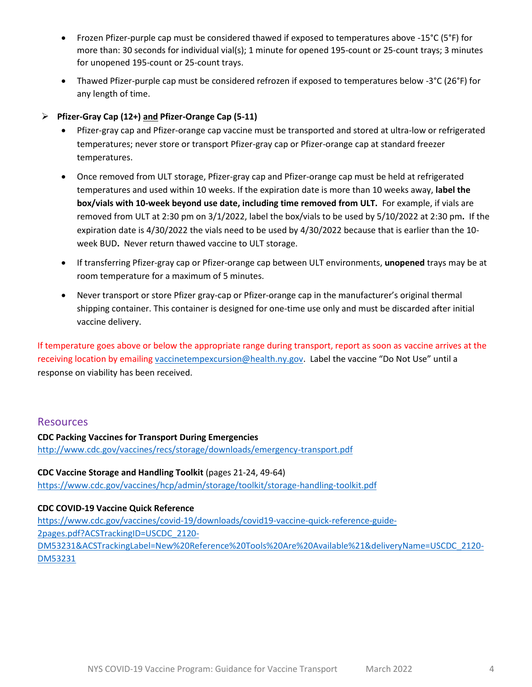- Frozen Pfizer-purple cap must be considered thawed if exposed to temperatures above -15°C (5°F) for more than: 30 seconds for individual vial(s); 1 minute for opened 195-count or 25-count trays; 3 minutes for unopened 195-count or 25-count trays.
- Thawed Pfizer-purple cap must be considered refrozen if exposed to temperatures below -3°C (26°F) for any length of time.
- ➢ **Pfizer-Gray Cap (12+) and Pfizer-Orange Cap (5-11)**
	- Pfizer-gray cap and Pfizer-orange cap vaccine must be transported and stored at ultra-low or refrigerated temperatures; never store or transport Pfizer-gray cap or Pfizer-orange cap at standard freezer temperatures.
	- Once removed from ULT storage, Pfizer-gray cap and Pfizer-orange cap must be held at refrigerated temperatures and used within 10 weeks. If the expiration date is more than 10 weeks away, **label the box/vials with 10-week beyond use date, including time removed from ULT.** For example, if vials are removed from ULT at 2:30 pm on 3/1/2022, label the box/vials to be used by 5/10/2022 at 2:30 pm**.** If the expiration date is 4/30/2022 the vials need to be used by 4/30/2022 because that is earlier than the 10 week BUD**.** Never return thawed vaccine to ULT storage.
	- If transferring Pfizer-gray cap or Pfizer-orange cap between ULT environments, **unopened** trays may be at room temperature for a maximum of 5 minutes.
	- Never transport or store Pfizer gray-cap or Pfizer-orange cap in the manufacturer's original thermal shipping container. This container is designed for one-time use only and must be discarded after initial vaccine delivery.

If temperature goes above or below the appropriate range during transport, report as soon as vaccine arrives at the receiving location by emailing [vaccinetempexcursion@health.ny.gov.](mailto:vaccinetempexcursion@health.ny.gov) Label the vaccine "Do Not Use" until a response on viability has been received.

## **Resources**

**CDC Packing Vaccines for Transport During Emergencies** <http://www.cdc.gov/vaccines/recs/storage/downloads/emergency-transport.pdf>

**CDC Vaccine Storage and Handling Toolkit** (pages 21-24, 49-64) <https://www.cdc.gov/vaccines/hcp/admin/storage/toolkit/storage-handling-toolkit.pdf>

## **CDC COVID-19 Vaccine Quick Reference**

[https://www.cdc.gov/vaccines/covid-19/downloads/covid19-vaccine-quick-reference-guide-](https://www.cdc.gov/vaccines/covid-19/downloads/covid19-vaccine-quick-reference-guide-2pages.pdf?ACSTrackingID=USCDC_2120-DM53231&ACSTrackingLabel=New%20Reference%20Tools%20Are%20Available%21&deliveryName=USCDC_2120-DM53231)[2pages.pdf?ACSTrackingID=USCDC\\_2120-](https://www.cdc.gov/vaccines/covid-19/downloads/covid19-vaccine-quick-reference-guide-2pages.pdf?ACSTrackingID=USCDC_2120-DM53231&ACSTrackingLabel=New%20Reference%20Tools%20Are%20Available%21&deliveryName=USCDC_2120-DM53231) [DM53231&ACSTrackingLabel=New%20Reference%20Tools%20Are%20Available%21&deliveryName=USCDC\\_2120-](https://www.cdc.gov/vaccines/covid-19/downloads/covid19-vaccine-quick-reference-guide-2pages.pdf?ACSTrackingID=USCDC_2120-DM53231&ACSTrackingLabel=New%20Reference%20Tools%20Are%20Available%21&deliveryName=USCDC_2120-DM53231) [DM53231](https://www.cdc.gov/vaccines/covid-19/downloads/covid19-vaccine-quick-reference-guide-2pages.pdf?ACSTrackingID=USCDC_2120-DM53231&ACSTrackingLabel=New%20Reference%20Tools%20Are%20Available%21&deliveryName=USCDC_2120-DM53231)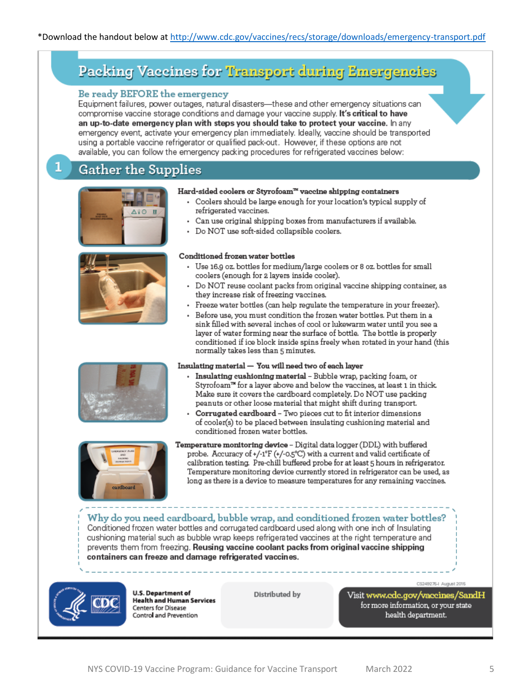# Packing Vaccines for Transport during Emergencies

#### Be ready BEFORE the emergency

Equipment failures, power outages, natural disasters-these and other emergency situations can compromise vaccine storage conditions and damage your vaccine supply. It's critical to have an up-to-date emergency plan with steps you should take to protect your vaccine. In any emergency event, activate your emergency plan immediately, Ideally, vaccine should be transported using a portable vaccine refrigerator or qualified pack-out. However, if these options are not available, you can follow the emergency packing procedures for refrigerated vaccines below:

# **Gather the Supplies**





#### Hard-sided coolers or Styrofoam<sup>78</sup> vaccine shipping containers

- Coolers should be large enough for your location's typical supply of refrigerated vaccines.
- Can use original shipping boxes from manufacturers if available.
- Do NOT use soft-sided collapsible coolers.

#### Conditioned frozen water bottles

- Use 16.9 oz. bottles for medium/large coolers or 8 oz. bottles for small coolers (enough for 2 layers inside cooler).
- Do NOT reuse coolant packs from original vaccine shipping container, as they increase risk of freezing vaccines.
- · Freeze water bottles (can help regulate the temperature in your freezer).
- Before use, you must condition the frozen water bottles. Put them in a sink filled with several inches of cool or lukewarm water until you see a layer of water forming near the surface of bottle. The bottle is properly conditioned if ice block inside spins freely when rotated in your hand (this normally takes less than 5 minutes.

#### Insulating material — You will need two of each layer

- · Insulating cushioning material Bubble wrap, packing foam, or Styrofoam™ for a layer above and below the vaccines, at least 1 in thick. Make sure it covers the cardboard completely. Do NOT use packing peanuts or other loose material that might shift during transport.
- Corrugated cardboard Two pieces cut to fit interior dimensions of cooler(s) to be placed between insulating cushioning material and conditioned frozen water bottles.



Temperature monitoring device - Digital data logger (DDL) with buffered probe. Accuracy of +/-1°F (+/-0.5°C) with a current and valid certificate of calibration testing. Pre-chill buffered probe for at least 5 hours in refrigerator. Temperature monitoring device currently stored in refrigerator can be used, as long as there is a device to measure temperatures for any remaining vaccines.

Why do you need cardboard, bubble wrap, and conditioned frozen water bottles? Conditioned frozen water bottles and corrugated cardboard used along with one inch of Insulating cushioning material such as bubble wrap keeps refrigerated vaccines at the right temperature and prevents them from freezing. Reusing vaccine coolant packs from original vaccine shipping containers can freeze and damage refrigerated vaccines.



**U.S. Department of Health and Human Services** Centers for Disease Control and Prevention

Distributed by

Visit www.cdc.gov/vaccines/SandH for more information, or your state health department.

CS249276-I August 2015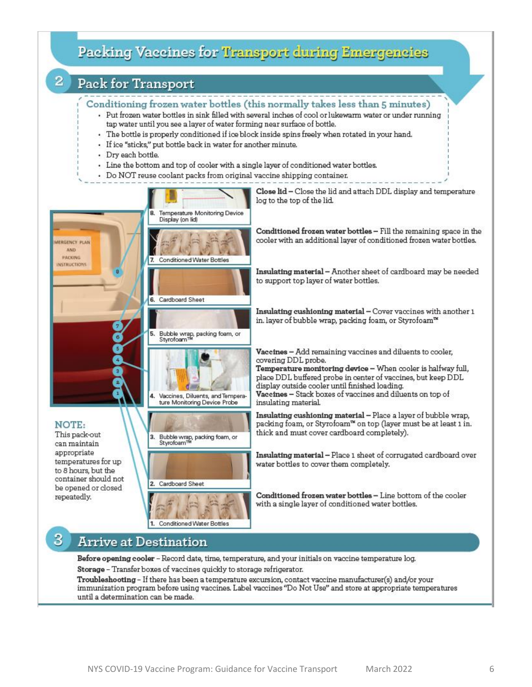

immunization program before using vaccines. Label vaccines "Do Not Use" and store at appropriate temperatures until a determination can be made.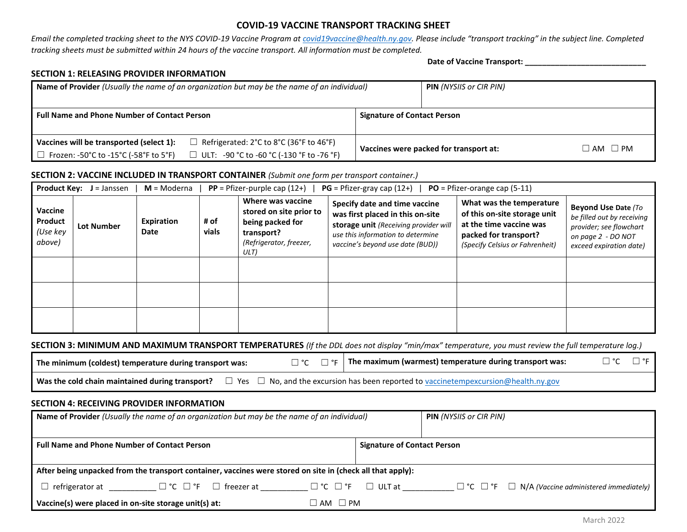#### **COVID-19 VACCINE TRANSPORT TRACKING SHEET**

*Email the completed tracking sheet to the NYS COVID-19 Vaccine Program at [covid19vaccine@health.ny.gov](mailto:covid19vaccine@health.ny.gov). Please include "transport tracking" in the subject line. Completed tracking sheets must be submitted within 24 hours of the vaccine transport. All information must be completed.*

#### **SECTION 1: RELEASING PROVIDER INFORMATION**

**Date of Vaccine Transport: \_\_\_\_\_\_\_\_\_\_\_\_\_\_\_\_\_\_\_\_\_\_\_\_\_\_\_\_**

|                                                     | Name of Provider (Usually the name of an organization but may be the name of an individual) | <b>PIN</b> (NYSIIS or CIR PIN)         |  |                     |  |
|-----------------------------------------------------|---------------------------------------------------------------------------------------------|----------------------------------------|--|---------------------|--|
| <b>Full Name and Phone Number of Contact Person</b> |                                                                                             | <b>Signature of Contact Person</b>     |  |                     |  |
| Vaccines will be transported (select 1):            | $\exists$ Refrigerated: 2°C to 8°C (36°F to 46°F)                                           |                                        |  | $\Box$ AM $\Box$ PM |  |
| $\Box$ Frozen: -50°C to -15°C (-58°F to 5°F)        | □ ULT: -90 °C to -60 °C (-130 °F to -76 °F)                                                 | Vaccines were packed for transport at: |  |                     |  |

#### **SECTION 2: VACCINE INCLUDED IN TRANSPORT CONTAINER** *(Submit one form per transport container.)*

| <b>Product Key:</b><br>$PP = Pfizer-purple cap (12+)$<br>$PG = Pfizer-gray cap (12+)$<br>$M = Modern$<br>$PO = Pfizer-orange cap (5-11)$<br>$J =$ Janssen |                   |                    |               |                                                                                                                   |                                                                                                                                                                                     |                                                                                                                                                 |                                                                                                                                      |
|-----------------------------------------------------------------------------------------------------------------------------------------------------------|-------------------|--------------------|---------------|-------------------------------------------------------------------------------------------------------------------|-------------------------------------------------------------------------------------------------------------------------------------------------------------------------------------|-------------------------------------------------------------------------------------------------------------------------------------------------|--------------------------------------------------------------------------------------------------------------------------------------|
| Vaccine<br>Product<br>(Use key<br>above)                                                                                                                  | <b>Lot Number</b> | Expiration<br>Date | # of<br>vials | Where was vaccine<br>stored on site prior to<br>being packed for<br>transport?<br>(Refrigerator, freezer,<br>ULT) | Specify date and time vaccine<br>was first placed in this on-site<br>storage unit (Receiving provider will<br>use this information to determine<br>vaccine's beyond use date (BUD)) | What was the temperature<br>of this on-site storage unit<br>at the time vaccine was<br>packed for transport?<br>(Specify Celsius or Fahrenheit) | <b>Beyond Use Date (To</b><br>be filled out by receiving<br>provider; see flowchart<br>on page 2 - DO NOT<br>exceed expiration date) |
|                                                                                                                                                           |                   |                    |               |                                                                                                                   |                                                                                                                                                                                     |                                                                                                                                                 |                                                                                                                                      |
|                                                                                                                                                           |                   |                    |               |                                                                                                                   |                                                                                                                                                                                     |                                                                                                                                                 |                                                                                                                                      |
|                                                                                                                                                           |                   |                    |               |                                                                                                                   |                                                                                                                                                                                     |                                                                                                                                                 |                                                                                                                                      |

#### **SECTION 3: MINIMUM AND MAXIMUM TRANSPORT TEMPERATURES** *(If the DDL does not display "min/max" temperature, you must review the full temperature log.)*

| The minimum (coldest) temperature during transport was: |  | $\Box$ °C $\Box$ °F $\parallel$ The maximum (warmest) temperature during transport was:                                                                      | $\Box$ °C $\Box$ °F |
|---------------------------------------------------------|--|--------------------------------------------------------------------------------------------------------------------------------------------------------------|---------------------|
|                                                         |  | <b>Was the cold chain maintained during transport?</b> $\square$ Yes $\square$ No, and the excursion has been reported to vaccinetempexcursion@health.ny.gov |                     |

#### **SECTION 4: RECEIVING PROVIDER INFORMATION**

| Name of Provider (Usually the name of an organization but may be the name of an individual)<br><b>PIN</b> (NYSIIS or CIR PIN) |                                         |                                                                                    |  |  |  |  |  |
|-------------------------------------------------------------------------------------------------------------------------------|-----------------------------------------|------------------------------------------------------------------------------------|--|--|--|--|--|
| <b>Full Name and Phone Number of Contact Person</b>                                                                           | <b>Signature of Contact Person</b>      |                                                                                    |  |  |  |  |  |
| After being unpacked from the transport container, vaccines were stored on site in (check all that apply):                    |                                         |                                                                                    |  |  |  |  |  |
| $\square$ $\degree$ C $\square$ $\degree$ F $\square$ freezer at<br>$\Box$ refrigerator at                                    | $\Box$ $^{\circ}$ C $\Box$ $^{\circ}$ F | $\Box$ ULT at<br>$\Box$ °C $\Box$ °F $\Box$ N/A (Vaccine administered immediately) |  |  |  |  |  |
| Vaccine(s) were placed in on-site storage unit(s) at:                                                                         | $\Box$ AM $\Box$ PM                     |                                                                                    |  |  |  |  |  |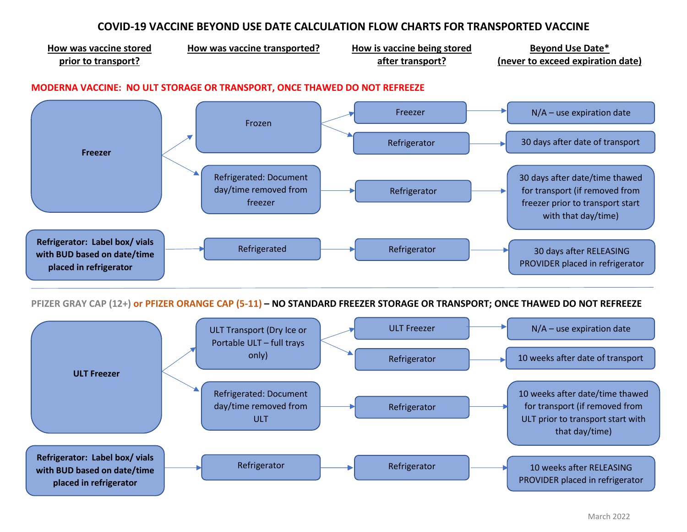# **COVID-19 VACCINE BEYOND USE DATE CALCULATION FLOW CHARTS FOR TRANSPORTED VACCINE**



**PFIZER GRAY CAP (12+) or PFIZER ORANGE CAP (5-11) – NO STANDARD FREEZER STORAGE OR TRANSPORT; ONCE THAWED DO NOT REFREEZE**